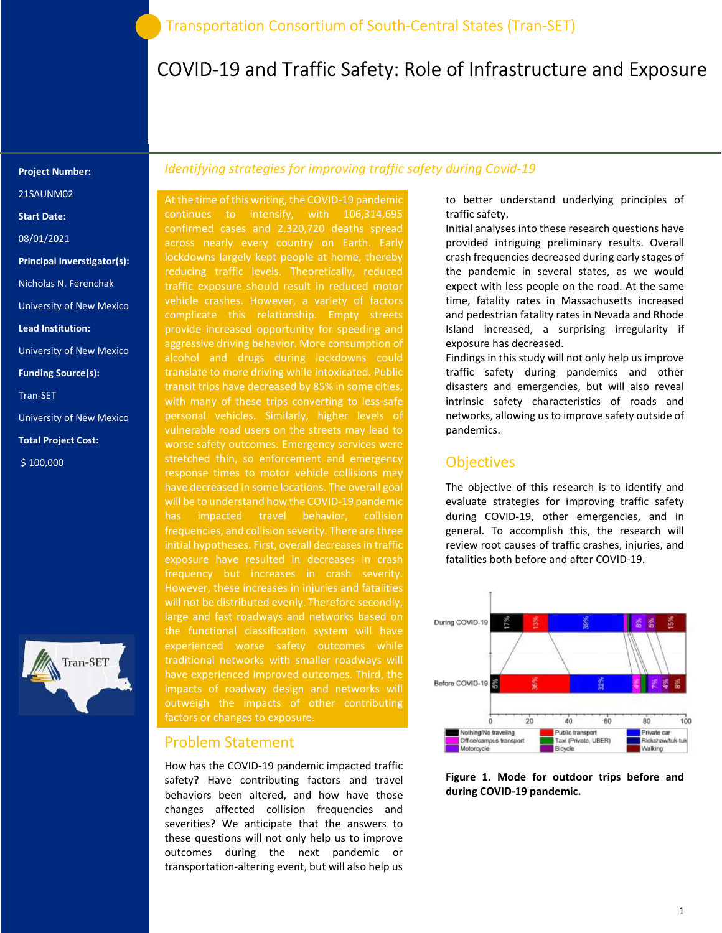# COVID-19 and Traffic Safety: Role of Infrastructure and Exposure

#### Project Number:

21SAUNM02

Start Date:

08/01/2021

Principal Inverstigator(s):

Nicholas N. Ferenchak

University of New Mexico

Lead Institution:

University of New Mexico

Funding Source(s):

Tran-SET

University of New Mexico

Total Project Cost:

\$ 100,000



### Identifying strategies for improving traffic safety during Covid-19

At the time of this writing, the COVID-19 pandemic continues to intensify, with 106,314,695 confirmed cases and 2,320,720 deaths spread across nearly every country on Earth. Early lockdowns largely kept people at home, thereby reducing traffic levels. Theoretically, reduced traffic exposure should result in reduced motor vehicle crashes. However, a variety of factors complicate this relationship. Empty streets provide increased opportunity for speeding and aggressive driving behavior. More consumption of alcohol and drugs during lockdowns could translate to more driving while intoxicated. Public transit trips have decreased by 85% in some cities, with many of these trips converting to less-safe personal vehicles. Similarly, higher levels of vulnerable road users on the streets may lead to worse safety outcomes. Emergency services were stretched thin, so enforcement and emergency response times to motor vehicle collisions may have decreased in some locations. The overall goal will be to understand how the COVID-19 pandemic has impacted travel behavior, collision frequencies, and collision severity. There are three initial hypotheses. First, overall decreases in traffic exposure have resulted in decreases in crash frequency but increases in crash severity. However, these increases in injuries and fatalities large and fast roadways and networks based on the functional classification system will have experienced worse safety outcomes while traditional networks with smaller roadways will have experienced improved outcomes. Third, the impacts of roadway design and networks will outweigh the impacts of other contributing factors or changes to exposure.

#### Problem Statement

How has the COVID-19 pandemic impacted traffic safety? Have contributing factors and travel behaviors been altered, and how have those changes affected collision frequencies and severities? We anticipate that the answers to these questions will not only help us to improve outcomes during the next pandemic or transportation-altering event, but will also help us

to better understand underlying principles of traffic safety.

Initial analyses into these research questions have provided intriguing preliminary results. Overall crash frequencies decreased during early stages of the pandemic in several states, as we would expect with less people on the road. At the same time, fatality rates in Massachusetts increased and pedestrian fatality rates in Nevada and Rhode Island increased, a surprising irregularity if exposure has decreased.

Findings in this study will not only help us improve traffic safety during pandemics and other disasters and emergencies, but will also reveal intrinsic safety characteristics of roads and networks, allowing us to improve safety outside of pandemics.

### **Objectives**

The objective of this research is to identify and evaluate strategies for improving traffic safety during COVID-19, other emergencies, and in general. To accomplish this, the research will review root causes of traffic crashes, injuries, and fatalities both before and after COVID-19.



Figure 1. Mode for outdoor trips before and during COVID-19 pandemic.